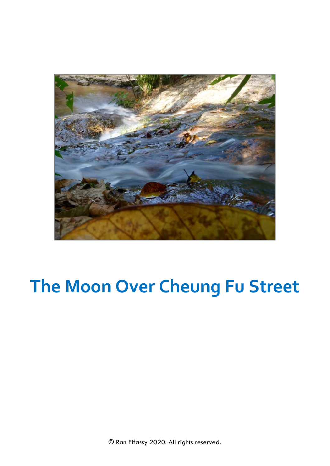

## **The Moon Over Cheung Fu Street**

© Ran Elfassy 2020. All rights reserved.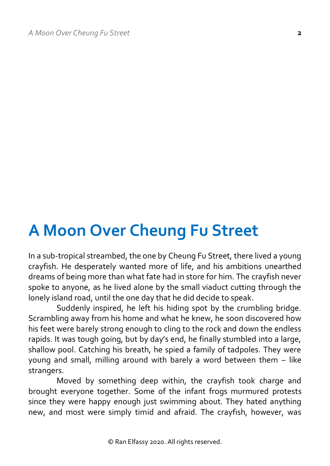## **A Moon Over Cheung Fu Street**

In a sub-tropical streambed, the one by Cheung Fu Street, there lived a young crayfish. He desperately wanted more of life, and his ambitions unearthed dreams of being more than what fate had in store for him. The crayfish never spoke to anyone, as he lived alone by the small viaduct cutting through the lonely island road, until the one day that he did decide to speak.

Suddenly inspired, he left his hiding spot by the crumbling bridge. Scrambling away from his home and what he knew, he soon discovered how his feet were barely strong enough to cling to the rock and down the endless rapids. It was tough going, but by day's end, he finally stumbled into a large, shallow pool. Catching his breath, he spied a family of tadpoles. They were young and small, milling around with barely a word between them – like strangers.

Moved by something deep within, the crayfish took charge and brought everyone together. Some of the infant frogs murmured protests since they were happy enough just swimming about. They hated anything new, and most were simply timid and afraid. The crayfish, however, was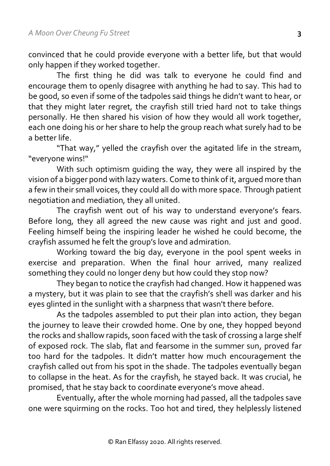convinced that he could provide everyone with a better life, but that would only happen if they worked together.

The first thing he did was talk to everyone he could find and encourage them to openly disagree with anything he had to say. This had to be good, so even if some of the tadpoles said things he didn't want to hear, or that they might later regret, the crayfish still tried hard not to take things personally. He then shared his vision of how they would all work together, each one doing his or her share to help the group reach what surely had to be a better life.

"That way," yelled the crayfish over the agitated life in the stream, "everyone wins!"

With such optimism guiding the way, they were all inspired by the vision of a bigger pond with lazy waters. Come to think of it, argued more than a few in their small voices, they could all do with more space. Through patient negotiation and mediation, they all united.

The crayfish went out of his way to understand everyone's fears. Before long, they all agreed the new cause was right and just and good. Feeling himself being the inspiring leader he wished he could become, the crayfish assumed he felt the group's love and admiration.

Working toward the big day, everyone in the pool spent weeks in exercise and preparation. When the final hour arrived, many realized something they could no longer deny but how could they stop now?

They began to notice the crayfish had changed. How it happened was a mystery, but it was plain to see that the crayfish's shell was darker and his eyes glinted in the sunlight with a sharpness that wasn't there before.

As the tadpoles assembled to put their plan into action, they began the journey to leave their crowded home. One by one, they hopped beyond the rocks and shallow rapids, soon faced with the task of crossing a large shelf of exposed rock. The slab, flat and fearsome in the summer sun, proved far too hard for the tadpoles. It didn't matter how much encouragement the crayfish called out from his spot in the shade. The tadpoles eventually began to collapse in the heat. As for the crayfish, he stayed back. It was crucial, he promised, that he stay back to coordinate everyone's move ahead.

Eventually, after the whole morning had passed, all the tadpoles save one were squirming on the rocks. Too hot and tired, they helplessly listened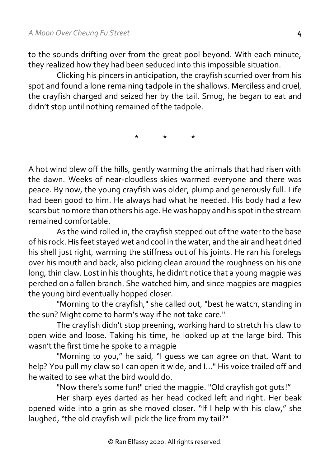to the sounds drifting over from the great pool beyond. With each minute, they realized how they had been seduced into this impossible situation.

Clicking his pincers in anticipation, the crayfish scurried over from his spot and found a lone remaining tadpole in the shallows. Merciless and cruel, the crayfish charged and seized her by the tail. Smug, he began to eat and didn't stop until nothing remained of the tadpole.

\* \* \*

A hot wind blew off the hills, gently warming the animals that had risen with the dawn. Weeks of near-cloudless skies warmed everyone and there was peace. By now, the young crayfish was older, plump and generously full. Life had been good to him. He always had what he needed. His body had a few scars but no more than others his age. He was happy and his spot in the stream remained comfortable.

As the wind rolled in, the crayfish stepped out of the water to the base of his rock. His feet stayed wet and cool in the water, and the air and heat dried his shell just right, warming the stiffness out of his joints. He ran his forelegs over his mouth and back, also picking clean around the roughness on his one long, thin claw. Lost in his thoughts, he didn't notice that a young magpie was perched on a fallen branch. She watched him, and since magpies are magpies the young bird eventually hopped closer.

"Morning to the crayfish," she called out, "best he watch, standing in the sun? Might come to harm's way if he not take care."

The crayfish didn't stop preening, working hard to stretch his claw to open wide and loose. Taking his time, he looked up at the large bird. This wasn't the first time he spoke to a magpie

"Morning to you," he said, "I quess we can agree on that. Want to help? You pull my claw so I can open it wide, and I..." His voice trailed off and he waited to see what the bird would do.

"Now there's some fun!" cried the magpie. "Old crayfish got guts!"

Her sharp eyes darted as her head cocked left and right. Her beak opened wide into a grin as she moved closer. "If I help with his claw," she laughed, "the old crayfish will pick the lice from my tail?"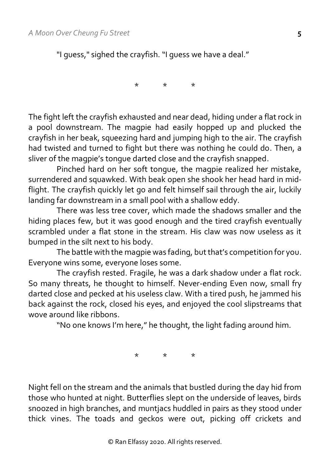"I guess," sighed the crayfish. "I guess we have a deal."

\* \* \*

The fight left the crayfish exhausted and near dead, hiding under a flat rock in a pool downstream. The magpie had easily hopped up and plucked the crayfish in her beak, squeezing hard and jumping high to the air. The crayfish had twisted and turned to fight but there was nothing he could do. Then, a sliver of the magpie's tongue darted close and the crayfish snapped.

Pinched hard on her soft tongue, the magpie realized her mistake, surrendered and squawked. With beak open she shook her head hard in midflight. The crayfish quickly let go and felt himself sail through the air, luckily landing far downstream in a small pool with a shallow eddy.

There was less tree cover, which made the shadows smaller and the hiding places few, but it was good enough and the tired crayfish eventually scrambled under a flat stone in the stream. His claw was now useless as it bumped in the silt next to his body.

The battle with the magpie was fading, but that's competition for you. Everyone wins some, everyone loses some.

The crayfish rested. Fragile, he was a dark shadow under a flat rock. So many threats, he thought to himself. Never-ending Even now, small fry darted close and pecked at his useless claw. With a tired push, he jammed his back against the rock, closed his eyes, and enjoyed the cool slipstreams that wove around like ribbons.

"No one knows I'm here," he thought, the light fading around him.

\* \* \*

Night fell on the stream and the animals that bustled during the day hid from those who hunted at night. Butterflies slept on the underside of leaves, birds snoozed in high branches, and muntjacs huddled in pairs as they stood under thick vines. The toads and geckos were out, picking off crickets and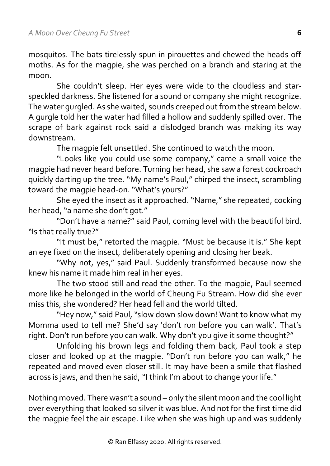mosquitos. The bats tirelessly spun in pirouettes and chewed the heads off moths. As for the magpie, she was perched on a branch and staring at the moon.

She couldn't sleep. Her eyes were wide to the cloudless and starspeckled darkness. She listened for a sound or company she might recognize. The water gurgled. As she waited, sounds creeped out from the stream below. A gurgle told her the water had filled a hollow and suddenly spilled over. The scrape of bark against rock said a dislodged branch was making its way downstream.

The magpie felt unsettled. She continued to watch the moon.

"Looks like you could use some company," came a small voice the magpie had never heard before. Turning her head, she saw a forest cockroach quickly darting up the tree. "My name's Paul," chirped the insect, scrambling toward the magpie head-on. "What's yours?"

She eyed the insect as it approached. "Name," she repeated, cocking her head, "a name she don't got."

"Don't have a name?" said Paul, coming level with the beautiful bird. "Is that really true?"

"It must be," retorted the magpie. "Must be because it is." She kept an eye fixed on the insect, deliberately opening and closing her beak.

"Why not, yes," said Paul. Suddenly transformed because now she knew his name it made him real in her eyes.

The two stood still and read the other. To the magpie, Paul seemed more like he belonged in the world of Cheung Fu Stream. How did she ever miss this, she wondered? Her head fell and the world tilted.

"Hey now," said Paul, "slow down slow down! Want to know what my Momma used to tell me? She'd say 'don't run before you can walk'. That's right. Don't run before you can walk. Why don't you give it some thought?"

Unfolding his brown legs and folding them back, Paul took a step closer and looked up at the magpie. "Don't run before you can walk," he repeated and moved even closer still. It may have been a smile that flashed across is jaws, and then he said, "I think I'm about to change your life."

Nothing moved. There wasn't a sound – only the silent moon and the cool light over everything that looked so silver it was blue. And not for the first time did the magpie feel the air escape. Like when she was high up and was suddenly